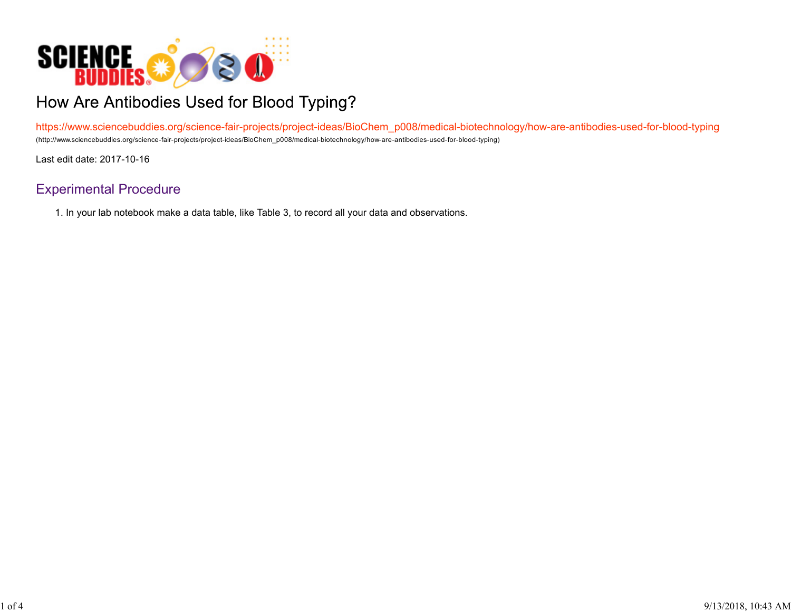

## How Are Antibodies Used for Blood Typing?

https://www.sciencebuddies.org/science-fair-projects/project-ideas/BioChem\_p008/medical-biotechnology/how-are-antibodies-used-for-blood-typing (http://www.sciencebuddies.org/science-fair-projects/project-ideas/BioChem\_p008/medical-biotechnology/how-are-antibodies-used-for-blood-typing)

Last edit date: 2017-10-16

## Experimental Procedure

1. In your lab notebook make a data table, like Table 3, to record all your data and observations.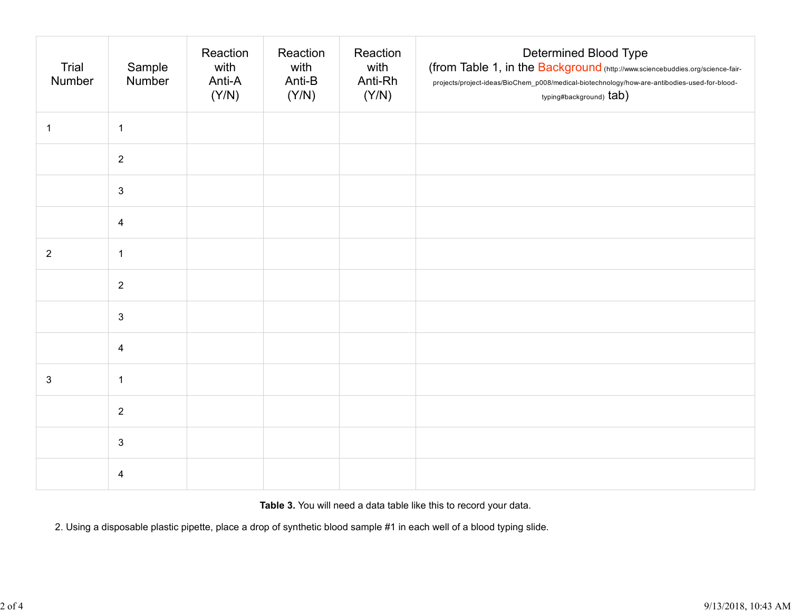| Trial<br>Number | Sample<br>Number        | Reaction<br>with<br>Anti-A<br>(Y/N) | Reaction<br>with<br>Anti-B<br>(Y/N) | Reaction<br>with<br>Anti-Rh<br>(Y/N) | <b>Determined Blood Type</b><br>(from Table 1, in the Background (http://www.sciencebuddies.org/science-fair-<br>projects/project-ideas/BioChem_p008/medical-biotechnology/how-are-antibodies-used-for-blood-<br>typing#background) tab) |
|-----------------|-------------------------|-------------------------------------|-------------------------------------|--------------------------------------|------------------------------------------------------------------------------------------------------------------------------------------------------------------------------------------------------------------------------------------|
| $\mathbf{1}$    | $\mathbf{1}$            |                                     |                                     |                                      |                                                                                                                                                                                                                                          |
|                 | $\overline{2}$          |                                     |                                     |                                      |                                                                                                                                                                                                                                          |
|                 | $\mathbf{3}$            |                                     |                                     |                                      |                                                                                                                                                                                                                                          |
|                 | $\overline{\mathbf{4}}$ |                                     |                                     |                                      |                                                                                                                                                                                                                                          |
| $\overline{2}$  | $\mathbf{1}$            |                                     |                                     |                                      |                                                                                                                                                                                                                                          |
|                 | $\overline{2}$          |                                     |                                     |                                      |                                                                                                                                                                                                                                          |
|                 | $\mathfrak{S}$          |                                     |                                     |                                      |                                                                                                                                                                                                                                          |
|                 | $\overline{4}$          |                                     |                                     |                                      |                                                                                                                                                                                                                                          |
| $\mathbf{3}$    | $\mathbf 1$             |                                     |                                     |                                      |                                                                                                                                                                                                                                          |
|                 | $\overline{2}$          |                                     |                                     |                                      |                                                                                                                                                                                                                                          |
|                 | $\mathfrak{S}$          |                                     |                                     |                                      |                                                                                                                                                                                                                                          |
|                 | $\overline{\mathbf{4}}$ |                                     |                                     |                                      |                                                                                                                                                                                                                                          |

**Table 3.** You will need a data table like this to record your data.

2. Using a disposable plastic pipette, place a drop of synthetic blood sample #1 in each well of a blood typing slide.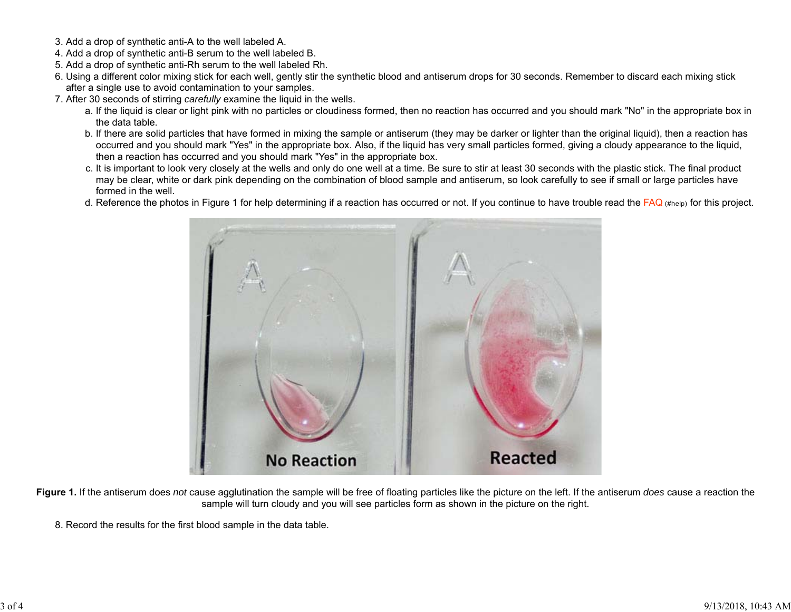- 3. Add a drop of synthetic anti-A to the well labeled A.
- 4. Add a drop of synthetic anti-B serum to the well labeled B.
- 5. Add a drop of synthetic anti-Rh serum to the well labeled Rh.
- 6. Using a different color mixing stick for each well, gently stir the synthetic blood and antiserum drops for 30 seconds. Remember to discard each mixing stick after a single use to avoid contamination to your samples.
- 7. After 30 seconds of stirring *carefully* examine the liquid in the wells.
	- a. If the liquid is clear or light pink with no particles or cloudiness formed, then no reaction has occurred and you should mark "No" in the appropriate box in the data table.
	- b. If there are solid particles that have formed in mixing the sample or antiserum (they may be darker or lighter than the original liquid), then a reaction has occurred and you should mark "Yes" in the appropriate box. Also, if the liquid has very small particles formed, giving a cloudy appearance to the liquid, then a reaction has occurred and you should mark "Yes" in the appropriate box.
	- c. It is important to look very closely at the wells and only do one well at a time. Be sure to stir at least 30 seconds with the plastic stick. The final product may be clear, white or dark pink depending on the combination of blood sample and antiserum, so look carefully to see if small or large particles have formed in the well.
	- d. Reference the photos in Figure 1 for help determining if a reaction has occurred or not. If you continue to have trouble read the  $FAQ$  (#help) for this project.



**Figure 1.** If the antiserum does *not* cause agglutination the sample will be free of floating particles like the picture on the left. If the antiserum *does* cause a reaction the sample will turn cloudy and you will see particles form as shown in the picture on the right.

8. Record the results for the first blood sample in the data table.